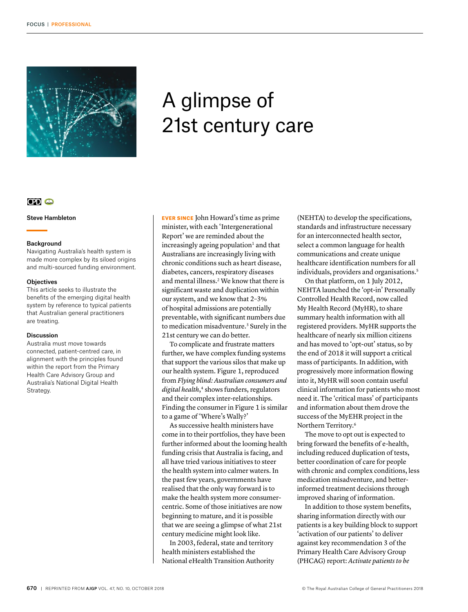

# A glimpse of 21st century care

# $CD<sub>o</sub>$

Steve Hambleton

### Background

Navigating Australia's health system is made more complex by its siloed origins and multi-sourced funding environment.

## **Objectives**

This article seeks to illustrate the benefits of the emerging digital health system by reference to typical patients that Australian general practitioners are treating.

### Discussion

Australia must move towards connected, patient-centred care, in alignment with the principles found within the report from the Primary Health Care Advisory Group and Australia's National Digital Health Strategy.

EVER SINCE John Howard's time as prime minister, with each 'Intergenerational Report' we are reminded about the  $increasing by$  ageing population<sup>1</sup> and that Australians are increasingly living with chronic conditions such as heart disease, diabetes, cancers, respiratory diseases and mental illness.<sup>2</sup> We know that there is significant waste and duplication within our system, and we know that 2–3% of hospital admissions are potentially preventable, with significant numbers due to medication misadventure.<sup>3</sup> Surely in the 21st century we can do better.

To complicate and frustrate matters further, we have complex funding systems that support the various silos that make up our health system. Figure 1, reproduced from *Flying blind: Australian consumers and digital health*, 4 shows funders, regulators and their complex inter-relationships. Finding the consumer in Figure 1 is similar to a game of 'Where's Wally?'

As successive health ministers have come in to their portfolios, they have been further informed about the looming health funding crisis that Australia is facing, and all have tried various initiatives to steer the health system into calmer waters. In the past few years, governments have realised that the only way forward is to make the health system more consumercentric. Some of those initiatives are now beginning to mature, and it is possible that we are seeing a glimpse of what 21st century medicine might look like.

In 2003, federal, state and territory health ministers established the National eHealth Transition Authority

(NEHTA) to develop the specifications, standards and infrastructure necessary for an interconnected health sector, select a common language for health communications and create unique healthcare identification numbers for all individuals, providers and organisations.<sup>5</sup>

On that platform, on 1 July 2012, NEHTA launched the 'opt-in' Personally Controlled Health Record, now called My Health Record (MyHR), to share summary health information with all registered providers. MyHR supports the healthcare of nearly six million citizens and has moved to 'opt-out' status, so by the end of 2018 it will support a critical mass of participants. In addition, with progressively more information flowing into it, MyHR will soon contain useful clinical information for patients who most need it. The 'critical mass' of participants and information about them drove the success of the MyEHR project in the Northern Territory.6

The move to opt out is expected to bring forward the benefits of e-health, including reduced duplication of tests, better coordination of care for people with chronic and complex conditions, less medication misadventure, and betterinformed treatment decisions through improved sharing of information.

In addition to those system benefits, sharing information directly with our patients is a key building block to support 'activation of our patients' to deliver against key recommendation 3 of the Primary Health Care Advisory Group (PHCAG) report: *Activate patients to be*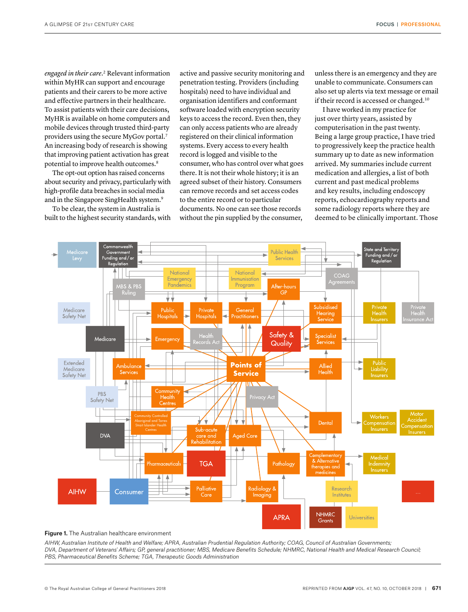*engaged in their care*. 2 Relevant information within MyHR can support and encourage patients and their carers to be more active and effective partners in their healthcare. To assist patients with their care decisions, MyHR is available on home computers and mobile devices through trusted third-party providers using the secure MyGov portal.7 An increasing body of research is showing that improving patient activation has great potential to improve health outcomes.<sup>8</sup>

The opt-out option has raised concerns about security and privacy, particularly with high-profile data breaches in social media and in the Singapore SingHealth system.9

To be clear, the system in Australia is built to the highest security standards, with active and passive security monitoring and penetration testing. Providers (including hospitals) need to have individual and organisation identifiers and conformant software loaded with encryption security keys to access the record. Even then, they can only access patients who are already registered on their clinical information systems. Every access to every health record is logged and visible to the consumer, who has control over what goes there. It is not their whole history; it is an agreed subset of their history. Consumers can remove records and set access codes to the entire record or to particular documents. No one can see those records without the pin supplied by the consumer,

unless there is an emergency and they are unable to communicate. Consumers can also set up alerts via text message or email if their record is accessed or changed.10

I have worked in my practice for just over thirty years, assisted by computerisation in the past twenty. Being a large group practice, I have tried to progressively keep the practice health summary up to date as new information arrived. My summaries include current medication and allergies, a list of both current and past medical problems and key results, including endoscopy reports, echocardiography reports and some radiology reports where they are deemed to be clinically important. Those



#### Figure 1. The Australian healthcare environment

*AIHW, Australian Institute of Health and Welfare; APRA, Australian Prudential Regulation Authority; COAG, Council of Australian Governments; DVA, Department of Veterans' Affairs; GP, general practitioner; MBS, Medicare Benefits Schedule; NHMRC, National Health and Medical Research Council; PBS, Pharmaceutical Benefits Scheme; TGA, Therapeutic Goods Administration*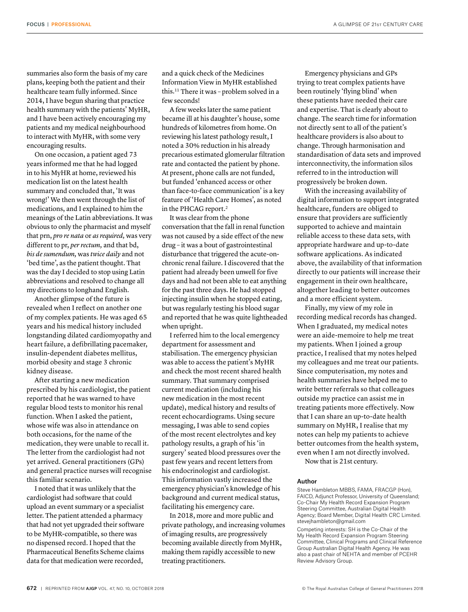summaries also form the basis of my care plans, keeping both the patient and their healthcare team fully informed. Since 2014, I have begun sharing that practice health summary with the patients' MyHR, and I have been actively encouraging my patients and my medical neighbourhood to interact with MyHR, with some very encouraging results.

On one occasion, a patient aged 73 years informed me that he had logged in to his MyHR at home, reviewed his medication list on the latest health summary and concluded that, 'It was wrong!' We then went through the list of medications, and I explained to him the meanings of the Latin abbreviations. It was obvious to only the pharmacist and myself that prn, *pro re nata* or *as required,* was very different to pr, *per rectum,* and that bd, *bis de sumendum,* was *twice daily* and not 'bed time', as the patient thought. That was the day I decided to stop using Latin abbreviations and resolved to change all my directions to longhand English.

Another glimpse of the future is revealed when I reflect on another one of my complex patients. He was aged 65 years and his medical history included longstanding dilated cardiomyopathy and heart failure, a defibrillating pacemaker, insulin-dependent diabetes mellitus, morbid obesity and stage 3 chronic kidney disease.

After starting a new medication prescribed by his cardiologist, the patient reported that he was warned to have regular blood tests to monitor his renal function. When I asked the patient, whose wife was also in attendance on both occasions, for the name of the medication, they were unable to recall it. The letter from the cardiologist had not yet arrived. General practitioners (GPs) and general practice nurses will recognise this familiar scenario.

I noted that it was unlikely that the cardiologist had software that could upload an event summary or a specialist letter. The patient attended a pharmacy that had not yet upgraded their software to be MyHR-compatible, so there was no dispensed record. I hoped that the Pharmaceutical Benefits Scheme claims data for that medication were recorded,

and a quick check of the Medicines Information View in MyHR established this.11 There it was – problem solved in a few seconds!

A few weeks later the same patient became ill at his daughter's house, some hundreds of kilometres from home. On reviewing his latest pathology result, I noted a 30% reduction in his already precarious estimated glomerular filtration rate and contacted the patient by phone. At present, phone calls are not funded, but funded 'enhanced access or other than face-to-face communication' is a key feature of 'Health Care Homes', as noted in the PHCAG report.2

It was clear from the phone conversation that the fall in renal function was not caused by a side effect of the new drug – it was a bout of gastrointestinal disturbance that triggered the acute-onchronic renal failure. I discovered that the patient had already been unwell for five days and had not been able to eat anything for the past three days. He had stopped injecting insulin when he stopped eating, but was regularly testing his blood sugar and reported that he was quite lightheaded when upright.

I referred him to the local emergency department for assessment and stabilisation. The emergency physician was able to access the patient's MyHR and check the most recent shared health summary. That summary comprised current medication (including his new medication in the most recent update), medical history and results of recent echocardiograms. Using secure messaging, I was able to send copies of the most recent electrolytes and key pathology results, a graph of his 'in surgery' seated blood pressures over the past few years and recent letters from his endocrinologist and cardiologist. This information vastly increased the emergency physician's knowledge of his background and current medical status, facilitating his emergency care.

In 2018, more and more public and private pathology, and increasing volumes of imaging results, are progressively becoming available directly from MyHR, making them rapidly accessible to new treating practitioners.

Emergency physicians and GPs trying to treat complex patients have been routinely 'flying blind' when these patients have needed their care and expertise. That is clearly about to change. The search time for information not directly sent to all of the patient's healthcare providers is also about to change. Through harmonisation and standardisation of data sets and improved interconnectivity, the information silos referred to in the introduction will progressively be broken down.

With the increasing availability of digital information to support integrated healthcare, funders are obliged to ensure that providers are sufficiently supported to achieve and maintain reliable access to these data sets, with appropriate hardware and up-to-date software applications. As indicated above, the availability of that information directly to our patients will increase their engagement in their own healthcare, altogether leading to better outcomes and a more efficient system.

Finally, my view of my role in recording medical records has changed. When I graduated, my medical notes were an aide-memoire to help me treat my patients. When I joined a group practice, I realised that my notes helped my colleagues and me treat our patients. Since computerisation, my notes and health summaries have helped me to write better referrals so that colleagues outside my practice can assist me in treating patients more effectively. Now that I can share an up-to-date health summary on MyHR, I realise that my notes can help my patients to achieve better outcomes from the health system, even when I am not directly involved.

Now that is 21st century.

#### Author

Steve Hambleton MBBS, FAMA, FRACGP (Hon), FAICD, Adjunct Professor, University of Queensland; Co-Chair My Health Record Expansion Program Steering Committee, Australian Digital Health Agency; Board Member, Digital Health CRC Limited. stevejhambleton@gmail.com

Competing interests: SH is the Co-Chair of the My Health Record Expansion Program Steering Committee, Clinical Programs and Clinical Reference Group Australian Digital Health Agency. He was also a past chair of NEHTA and member of PCEHR Review Advisory Group.